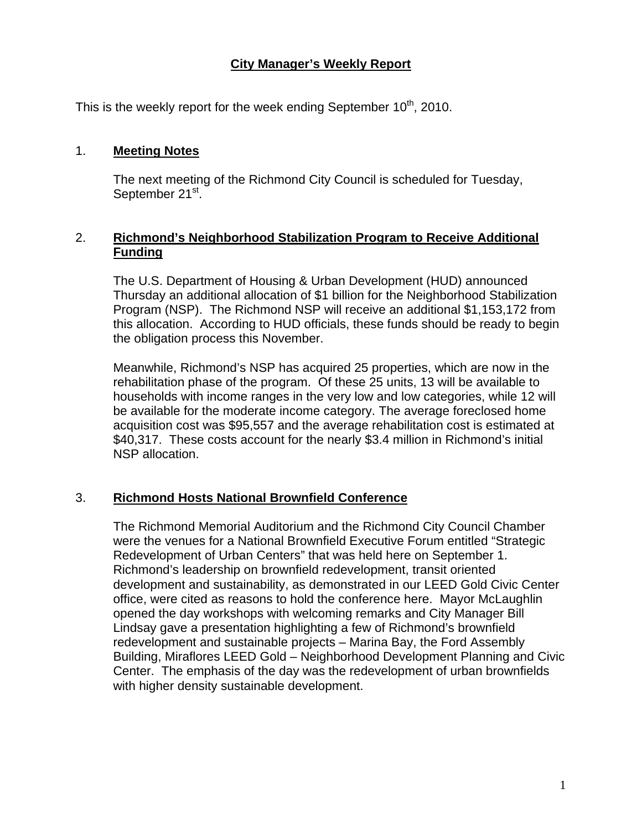# **City Manager's Weekly Report**

This is the weekly report for the week ending September  $10^{th}$ , 2010.

#### 1. **Meeting Notes**

The next meeting of the Richmond City Council is scheduled for Tuesday, September 21<sup>st</sup>.

## 2. **Richmond's Neighborhood Stabilization Program to Receive Additional Funding**

The U.S. Department of Housing & Urban Development (HUD) announced Thursday an additional allocation of \$1 billion for the Neighborhood Stabilization Program (NSP). The Richmond NSP will receive an additional \$1,153,172 from this allocation. According to HUD officials, these funds should be ready to begin the obligation process this November.

Meanwhile, Richmond's NSP has acquired 25 properties, which are now in the rehabilitation phase of the program. Of these 25 units, 13 will be available to households with income ranges in the very low and low categories, while 12 will be available for the moderate income category. The average foreclosed home acquisition cost was \$95,557 and the average rehabilitation cost is estimated at \$40,317. These costs account for the nearly \$3.4 million in Richmond's initial NSP allocation.

### 3. **Richmond Hosts National Brownfield Conference**

The Richmond Memorial Auditorium and the Richmond City Council Chamber were the venues for a National Brownfield Executive Forum entitled "Strategic Redevelopment of Urban Centers" that was held here on September 1. Richmond's leadership on brownfield redevelopment, transit oriented development and sustainability, as demonstrated in our LEED Gold Civic Center office, were cited as reasons to hold the conference here. Mayor McLaughlin opened the day workshops with welcoming remarks and City Manager Bill Lindsay gave a presentation highlighting a few of Richmond's brownfield redevelopment and sustainable projects – Marina Bay, the Ford Assembly Building, Miraflores LEED Gold – Neighborhood Development Planning and Civic Center. The emphasis of the day was the redevelopment of urban brownfields with higher density sustainable development.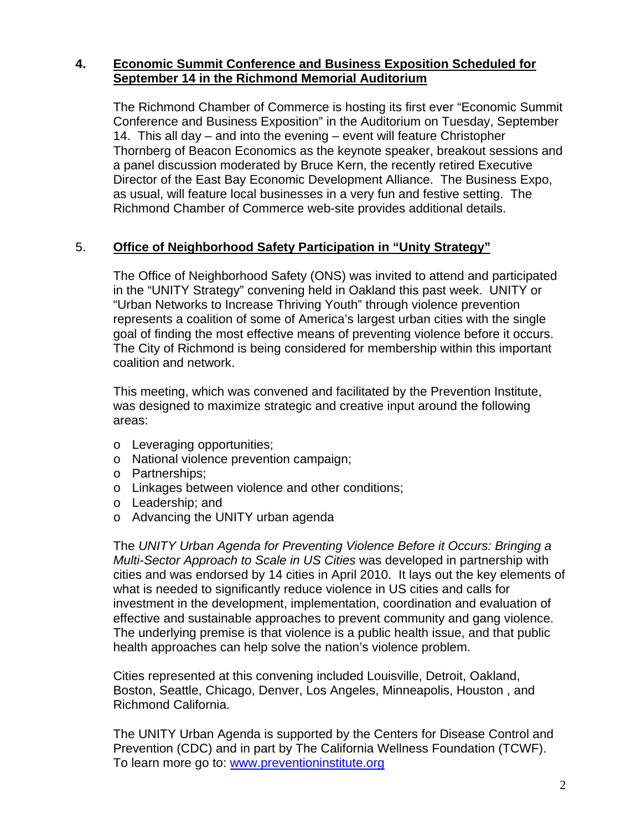## **4. Economic Summit Conference and Business Exposition Scheduled for September 14 in the Richmond Memorial Auditorium**

The Richmond Chamber of Commerce is hosting its first ever "Economic Summit Conference and Business Exposition" in the Auditorium on Tuesday, September 14. This all day – and into the evening – event will feature Christopher Thornberg of Beacon Economics as the keynote speaker, breakout sessions and a panel discussion moderated by Bruce Kern, the recently retired Executive Director of the East Bay Economic Development Alliance. The Business Expo, as usual, will feature local businesses in a very fun and festive setting. The Richmond Chamber of Commerce web-site provides additional details.

### 5. **Office of Neighborhood Safety Participation in "Unity Strategy"**

The Office of Neighborhood Safety (ONS) was invited to attend and participated in the "UNITY Strategy" convening held in Oakland this past week. UNITY or "Urban Networks to Increase Thriving Youth" through violence prevention represents a coalition of some of America's largest urban cities with the single goal of finding the most effective means of preventing violence before it occurs. The City of Richmond is being considered for membership within this important coalition and network.

This meeting, which was convened and facilitated by the Prevention Institute, was designed to maximize strategic and creative input around the following areas:

- o Leveraging opportunities;
- o National violence prevention campaign;
- o Partnerships;
- o Linkages between violence and other conditions;
- o Leadership; and
- o Advancing the UNITY urban agenda

The *UNITY Urban Agenda for Preventing Violence Before it Occurs: Bringing a Multi-Sector Approach to Scale in US Cities* was developed in partnership with cities and was endorsed by 14 cities in April 2010. It lays out the key elements of what is needed to significantly reduce violence in US cities and calls for investment in the development, implementation, coordination and evaluation of effective and sustainable approaches to prevent community and gang violence. The underlying premise is that violence is a public health issue, and that public health approaches can help solve the nation's violence problem.

Cities represented at this convening included Louisville, Detroit, Oakland, Boston, Seattle, Chicago, Denver, Los Angeles, Minneapolis, Houston , and Richmond California.

The UNITY Urban Agenda is supported by the Centers for Disease Control and Prevention (CDC) and in part by The California Wellness Foundation (TCWF). To learn more go to: [www.preventioninstitute.org](http://www.preventioninstitute.org/)